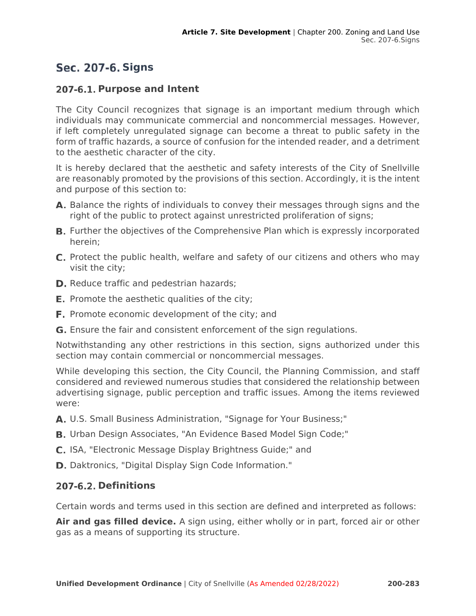# **Sec. 207-6. Signs**

# **Purpose and Intent**

The City Council recognizes that signage is an important medium through which individuals may communicate commercial and noncommercial messages. However, if left completely unregulated signage can become a threat to public safety in the form of traffic hazards, a source of confusion for the intended reader, and a detriment to the aesthetic character of the city.

It is hereby declared that the aesthetic and safety interests of the City of Snellville are reasonably promoted by the provisions of this section. Accordingly, it is the intent and purpose of this section to:

- A. Balance the rights of individuals to convey their messages through signs and the right of the public to protect against unrestricted proliferation of signs;
- **B.** Further the objectives of the Comprehensive Plan which is expressly incorporated herein;
- **C.** Protect the public health, welfare and safety of our citizens and others who may visit the city;
- **D.** Reduce traffic and pedestrian hazards;
- **E.** Promote the aesthetic qualities of the city;
- **F.** Promote economic development of the city; and
- G. Ensure the fair and consistent enforcement of the sign regulations.

Notwithstanding any other restrictions in this section, signs authorized under this section may contain commercial or noncommercial messages.

While developing this section, the City Council, the Planning Commission, and staff considered and reviewed numerous studies that considered the relationship between advertising signage, public perception and traffic issues. Among the items reviewed were:

- A. U.S. Small Business Administration, "Signage for Your Business;"
- **B.** Urban Design Associates, "An Evidence Based Model Sign Code;"
- C. ISA, "Electronic Message Display Brightness Guide;" and
- **D.** Daktronics, "Digital Display Sign Code Information."

# **Definitions**

Certain words and terms used in this section are defined and interpreted as follows:

**Air and gas filled device.** A sign using, either wholly or in part, forced air or other gas as a means of supporting its structure.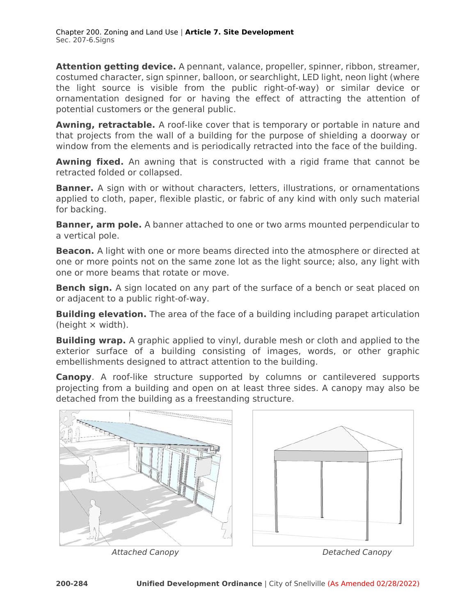**Attention getting device.** A pennant, valance, propeller, spinner, ribbon, streamer, costumed character, sign spinner, balloon, or searchlight, LED light, neon light (where the light source is visible from the public right-of-way) or similar device or ornamentation designed for or having the effect of attracting the attention of potential customers or the general public.

**Awning, retractable.** A roof-like cover that is temporary or portable in nature and that projects from the wall of a building for the purpose of shielding a doorway or window from the elements and is periodically retracted into the face of the building.

**Awning fixed.** An awning that is constructed with a rigid frame that cannot be retracted folded or collapsed.

**Banner.** A sign with or without characters, letters, illustrations, or ornamentations applied to cloth, paper, flexible plastic, or fabric of any kind with only such material for backing.

**Banner, arm pole.** A banner attached to one or two arms mounted perpendicular to a vertical pole.

**Beacon.** A light with one or more beams directed into the atmosphere or directed at one or more points not on the same zone lot as the light source; also, any light with one or more beams that rotate or move.

**Bench sign.** A sign located on any part of the surface of a bench or seat placed on or adjacent to a public right-of-way.

**Building elevation.** The area of the face of a building including parapet articulation (height × width).

**Building wrap.** A graphic applied to vinyl, durable mesh or cloth and applied to the exterior surface of a building consisting of images, words, or other graphic embellishments designed to attract attention to the building.

**Canopy**. A roof-like structure supported by columns or cantilevered supports projecting from a building and open on at least three sides. A canopy may also be detached from the building as a freestanding structure.



Attached Canopy **Detached Canopy Detached Canopy**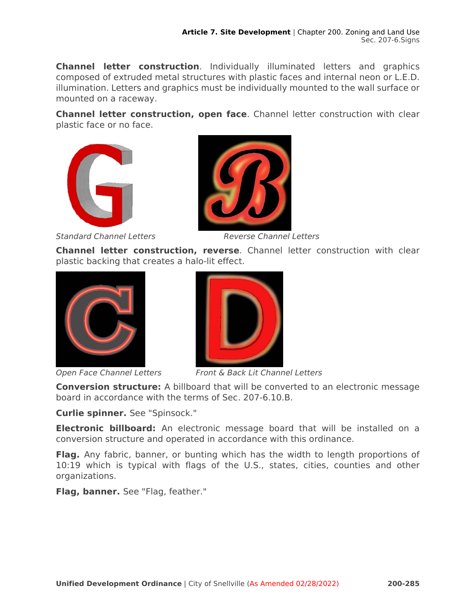**Channel letter construction**. Individually illuminated letters and graphics composed of extruded metal structures with plastic faces and internal neon or L.E.D. illumination. Letters and graphics must be individually mounted to the wall surface or mounted on a raceway.

**Channel letter construction, open face**. Channel letter construction with clear plastic face or no face.





Standard Channel Letters **Reverse Channel Letters** 

**Channel letter construction, reverse**. Channel letter construction with clear plastic backing that creates a halo-lit effect.



Open Face Channel Letters



Front & Back Lit Channel Letters

**Conversion structure:** A billboard that will be converted to an electronic message board in accordance with the terms of Sec. 207-6.10.B.

**Curlie spinner.** See "Spinsock."

**Electronic billboard:** An electronic message board that will be installed on a conversion structure and operated in accordance with this ordinance.

**Flag.** Any fabric, banner, or bunting which has the width to length proportions of 10:19 which is typical with flags of the U.S., states, cities, counties and other organizations.

**Flag, banner.** See "Flag, feather."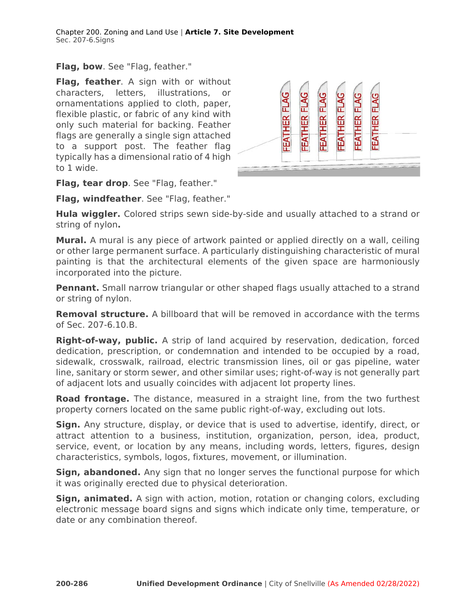**Flag, bow**. See "Flag, feather."

**Flag, feather**. A sign with or without characters, letters, illustrations, or ornamentations applied to cloth, paper, flexible plastic, or fabric of any kind with only such material for backing. Feather flags are generally a single sign attached to a support post. The feather flag typically has a dimensional ratio of 4 high to 1 wide.



**Flag, tear drop**. See "Flag, feather."

**Flag, windfeather**. See "Flag, feather."

**Hula wiggler.** Colored strips sewn side-by-side and usually attached to a strand or string of nylon**.** 

**Mural.** A mural is any piece of artwork painted or applied directly on a wall, ceiling or other large permanent surface. A particularly distinguishing characteristic of mural painting is that the architectural elements of the given space are harmoniously incorporated into the picture.

**Pennant.** Small narrow triangular or other shaped flags usually attached to a strand or string of nylon.

**Removal structure.** A billboard that will be removed in accordance with the terms of Sec. 207-6.10.B.

**Right-of-way, public.** A strip of land acquired by reservation, dedication, forced dedication, prescription, or condemnation and intended to be occupied by a road, sidewalk, crosswalk, railroad, electric transmission lines, oil or gas pipeline, water line, sanitary or storm sewer, and other similar uses; right-of-way is not generally part of adjacent lots and usually coincides with adjacent lot property lines.

**Road frontage.** The distance, measured in a straight line, from the two furthest property corners located on the same public right-of-way, excluding out lots.

**Sign.** Any structure, display, or device that is used to advertise, identify, direct, or attract attention to a business, institution, organization, person, idea, product, service, event, or location by any means, including words, letters, figures, design characteristics, symbols, logos, fixtures, movement, or illumination.

**Sign, abandoned.** Any sign that no longer serves the functional purpose for which it was originally erected due to physical deterioration.

**Sign, animated.** A sign with action, motion, rotation or changing colors, excluding electronic message board signs and signs which indicate only time, temperature, or date or any combination thereof.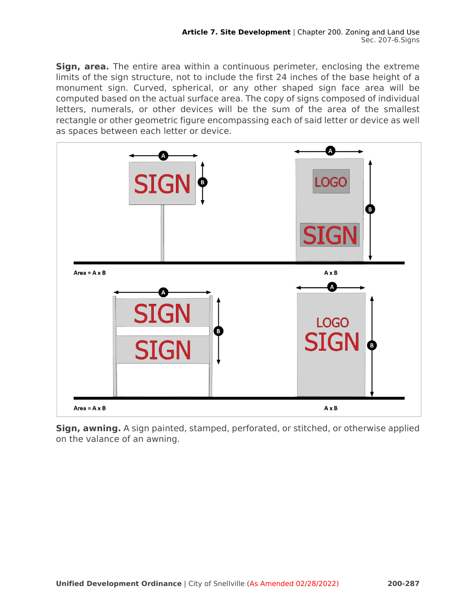**Sign, area.** The entire area within a continuous perimeter, enclosing the extreme limits of the sign structure, not to include the first 24 inches of the base height of a monument sign. Curved, spherical, or any other shaped sign face area will be computed based on the actual surface area. The copy of signs composed of individual letters, numerals, or other devices will be the sum of the area of the smallest rectangle or other geometric figure encompassing each of said letter or device as well as spaces between each letter or device.



**Sign, awning.** A sign painted, stamped, perforated, or stitched, or otherwise applied on the valance of an awning.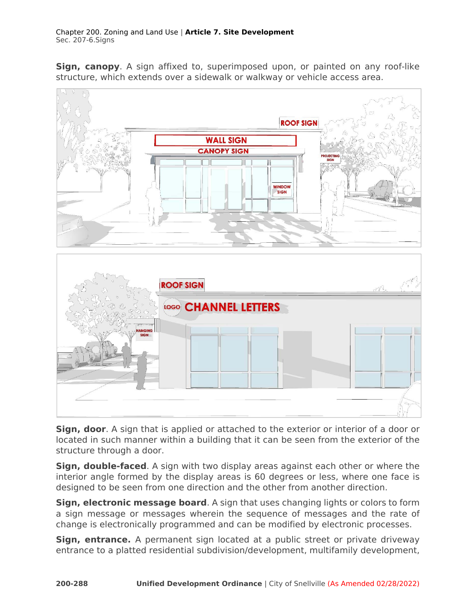**Sign, canopy**. A sign affixed to, superimposed upon, or painted on any roof-like structure, which extends over a sidewalk or walkway or vehicle access area.



**Sign, door**. A sign that is applied or attached to the exterior or interior of a door or located in such manner within a building that it can be seen from the exterior of the structure through a door.

**Sign, double-faced**. A sign with two display areas against each other or where the interior angle formed by the display areas is 60 degrees or less, where one face is designed to be seen from one direction and the other from another direction.

**Sign, electronic message board**. A sign that uses changing lights or colors to form a sign message or messages wherein the sequence of messages and the rate of change is electronically programmed and can be modified by electronic processes.

**Sign, entrance.** A permanent sign located at a public street or private driveway entrance to a platted residential subdivision/development, multifamily development,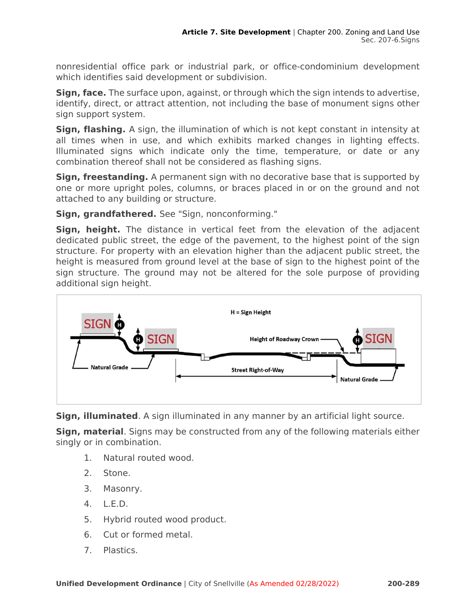nonresidential office park or industrial park, or office-condominium development which identifies said development or subdivision.

**Sign, face.** The surface upon, against, or through which the sign intends to advertise, identify, direct, or attract attention, not including the base of monument signs other sign support system.

**Sign, flashing.** A sign, the illumination of which is not kept constant in intensity at all times when in use, and which exhibits marked changes in lighting effects. Illuminated signs which indicate only the time, temperature, or date or any combination thereof shall not be considered as flashing signs.

**Sign, freestanding.** A permanent sign with no decorative base that is supported by one or more upright poles, columns, or braces placed in or on the ground and not attached to any building or structure.

**Sign, grandfathered.** See "Sign, nonconforming."

**Sign, height.** The distance in vertical feet from the elevation of the adjacent dedicated public street, the edge of the pavement, to the highest point of the sign structure. For property with an elevation higher than the adjacent public street, the height is measured from ground level at the base of sign to the highest point of the sign structure. The ground may not be altered for the sole purpose of providing additional sign height.



**Sign, illuminated**. A sign illuminated in any manner by an artificial light source.

**Sign, material**. Signs may be constructed from any of the following materials either singly or in combination.

- 1. Natural routed wood.
- 2. Stone.
- 3. Masonry.
- 4. L.E.D.
- 5. Hybrid routed wood product.
- 6. Cut or formed metal.
- 7. Plastics.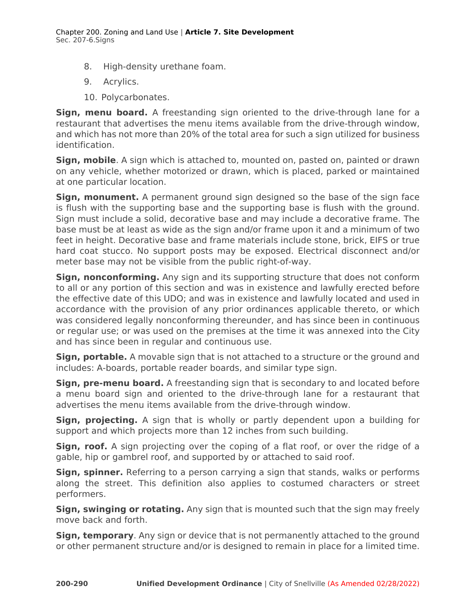- 8. High-density urethane foam.
- 9. Acrylics.
- 10. Polycarbonates.

**Sign, menu board.** A freestanding sign oriented to the drive-through lane for a restaurant that advertises the menu items available from the drive-through window, and which has not more than 20% of the total area for such a sign utilized for business identification.

**Sign, mobile**. A sign which is attached to, mounted on, pasted on, painted or drawn on any vehicle, whether motorized or drawn, which is placed, parked or maintained at one particular location.

**Sign, monument.** A permanent ground sign designed so the base of the sign face is flush with the supporting base and the supporting base is flush with the ground. Sign must include a solid, decorative base and may include a decorative frame. The base must be at least as wide as the sign and/or frame upon it and a minimum of two feet in height. Decorative base and frame materials include stone, brick, EIFS or true hard coat stucco. No support posts may be exposed. Electrical disconnect and/or meter base may not be visible from the public right-of-way.

**Sign, nonconforming.** Any sign and its supporting structure that does not conform to all or any portion of this section and was in existence and lawfully erected before the effective date of this UDO; and was in existence and lawfully located and used in accordance with the provision of any prior ordinances applicable thereto, or which was considered legally nonconforming thereunder, and has since been in continuous or regular use; or was used on the premises at the time it was annexed into the City and has since been in regular and continuous use.

**Sign, portable.** A movable sign that is not attached to a structure or the ground and includes: A-boards, portable reader boards, and similar type sign.

**Sign, pre-menu board.** A freestanding sign that is secondary to and located before a menu board sign and oriented to the drive-through lane for a restaurant that advertises the menu items available from the drive-through window.

**Sign, projecting.** A sign that is wholly or partly dependent upon a building for support and which projects more than 12 inches from such building.

**Sign, roof.** A sign projecting over the coping of a flat roof, or over the ridge of a gable, hip or gambrel roof, and supported by or attached to said roof.

**Sign, spinner.** Referring to a person carrying a sign that stands, walks or performs along the street. This definition also applies to costumed characters or street performers.

**Sign, swinging or rotating.** Any sign that is mounted such that the sign may freely move back and forth.

**Sign, temporary**. Any sign or device that is not permanently attached to the ground or other permanent structure and/or is designed to remain in place for a limited time.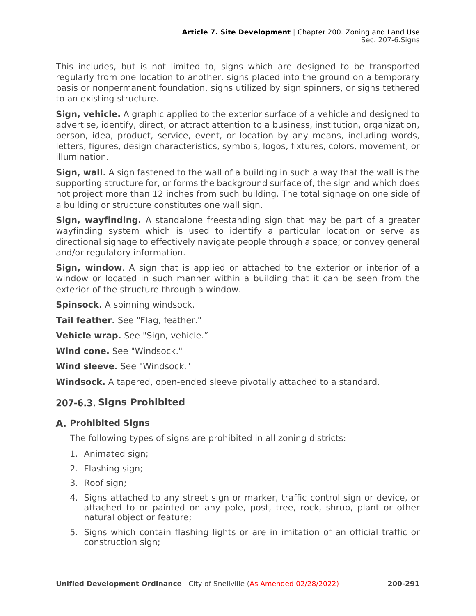This includes, but is not limited to, signs which are designed to be transported regularly from one location to another, signs placed into the ground on a temporary basis or nonpermanent foundation, signs utilized by sign spinners, or signs tethered to an existing structure.

**Sign, vehicle.** A graphic applied to the exterior surface of a vehicle and designed to advertise, identify, direct, or attract attention to a business, institution, organization, person, idea, product, service, event, or location by any means, including words, letters, figures, design characteristics, symbols, logos, fixtures, colors, movement, or illumination.

**Sign, wall.** A sign fastened to the wall of a building in such a way that the wall is the supporting structure for, or forms the background surface of, the sign and which does not project more than 12 inches from such building. The total signage on one side of a building or structure constitutes one wall sign.

**Sign, wayfinding.** A standalone freestanding sign that may be part of a greater wayfinding system which is used to identify a particular location or serve as directional signage to effectively navigate people through a space; or convey general and/or regulatory information.

**Sign, window**. A sign that is applied or attached to the exterior or interior of a window or located in such manner within a building that it can be seen from the exterior of the structure through a window.

**Spinsock.** A spinning windsock.

**Tail feather.** See "Flag, feather."

**Vehicle wrap.** See "Sign, vehicle."

**Wind cone.** See "Windsock."

**Wind sleeve.** See "Windsock."

**Windsock.** A tapered, open-ended sleeve pivotally attached to a standard.

# **Signs Prohibited**

# **Prohibited Signs**

The following types of signs are prohibited in all zoning districts:

- 1. Animated sign;
- 2. Flashing sign;
- 3. Roof sign;
- 4. Signs attached to any street sign or marker, traffic control sign or device, or attached to or painted on any pole, post, tree, rock, shrub, plant or other natural object or feature;
- 5. Signs which contain flashing lights or are in imitation of an official traffic or construction sign;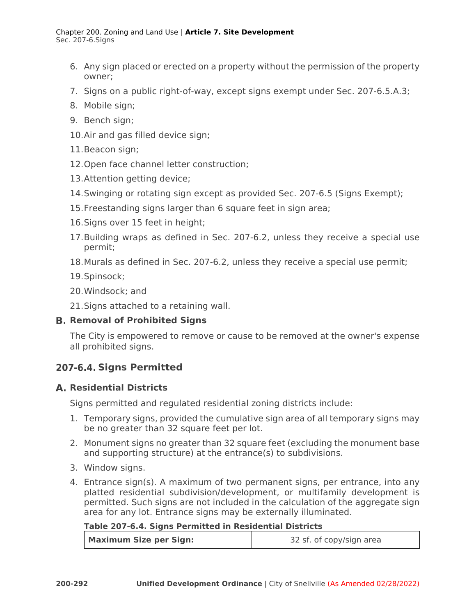- 6. Any sign placed or erected on a property without the permission of the property owner;
- 7. Signs on a public right-of-way, except signs exempt under Sec. 207-6.5.A.3;
- 8. Mobile sign;
- 9. Bench sign;
- 10.Air and gas filled device sign;
- 11.Beacon sign;
- 12.Open face channel letter construction;
- 13.Attention getting device;
- 14.Swinging or rotating sign except as provided Sec. 207-6.5 (Signs Exempt);
- 15.Freestanding signs larger than 6 square feet in sign area;
- 16.Signs over 15 feet in height;
- 17.Building wraps as defined in Sec. 207-6.2, unless they receive a special use permit;
- 18.Murals as defined in Sec. 207-6.2, unless they receive a special use permit;
- 19.Spinsock;
- 20.Windsock; and
- 21.Signs attached to a retaining wall.

# **Removal of Prohibited Signs**

The City is empowered to remove or cause to be removed at the owner's expense all prohibited signs.

# **Signs Permitted**

# **Residential Districts**

Signs permitted and regulated residential zoning districts include:

- 1. Temporary signs, provided the cumulative sign area of all temporary signs may be no greater than 32 square feet per lot.
- 2. Monument signs no greater than 32 square feet (excluding the monument base and supporting structure) at the entrance(s) to subdivisions.
- 3. Window signs.
- 4. Entrance sign(s). A maximum of two permanent signs, per entrance, into any platted residential subdivision/development, or multifamily development is permitted. Such signs are not included in the calculation of the aggregate sign area for any lot. Entrance signs may be externally illuminated.

### **Table 207-6.4. Signs Permitted in Residential Districts**

| <b>Maximum Size per Sign:</b> | 32 sf. of copy/sign area |
|-------------------------------|--------------------------|
|-------------------------------|--------------------------|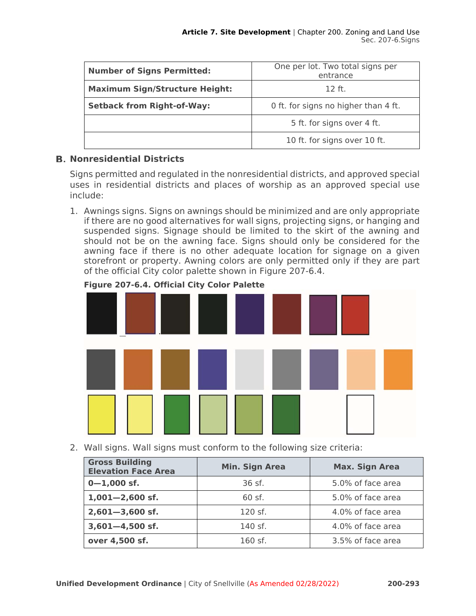| <b>Number of Signs Permitted:</b>                                         | One per lot. Two total signs per<br>entrance |  |
|---------------------------------------------------------------------------|----------------------------------------------|--|
| <b>Maximum Sign/Structure Height:</b>                                     | $12$ ft.                                     |  |
| 0 ft. for signs no higher than 4 ft.<br><b>Setback from Right-of-Way:</b> |                                              |  |
|                                                                           | 5 ft. for signs over 4 ft.                   |  |
|                                                                           | 10 ft. for signs over 10 ft.                 |  |

# **Nonresidential Districts**

Signs permitted and regulated in the nonresidential districts, and approved special uses in residential districts and places of worship as an approved special use include:

1. Awnings signs. Signs on awnings should be minimized and are only appropriate if there are no good alternatives for wall signs, projecting signs, or hanging and suspended signs. Signage should be limited to the skirt of the awning and should not be on the awning face. Signs should only be considered for the awning face if there is no other adequate location for signage on a given storefront or property. Awning colors are only permitted only if they are part of the official City color palette shown in Figure 207-6.4.



# **Figure 207-6.4. Official City Color Palette**

2. Wall signs. Wall signs must conform to the following size criteria:

| <b>Gross Building</b><br><b>Elevation Face Area</b> | Min. Sign Area | <b>Max. Sign Area</b> |
|-----------------------------------------------------|----------------|-----------------------|
| $0 - 1,000$ sf.                                     | 36 sf.         | 5.0% of face area     |
| $1,001 - 2,600$ sf.                                 | 60 sf.         | 5.0% of face area     |
| $2,601 - 3,600$ sf.                                 | 120 sf.        | 4.0% of face area     |
| $3,601 - 4,500$ sf.                                 | 140 sf.        | 4.0% of face area     |
| over 4,500 sf.                                      | $160$ sf.      | 3.5% of face area     |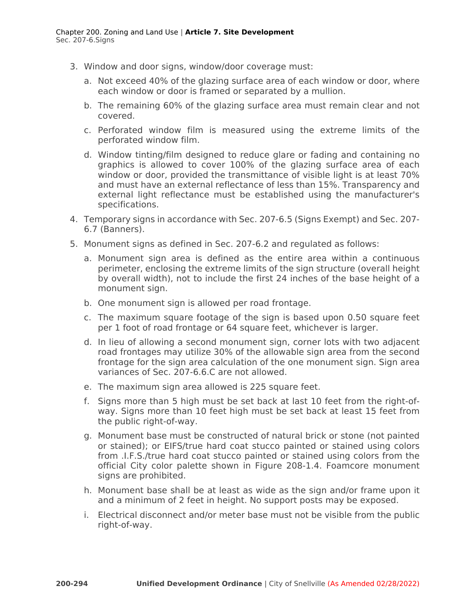- 3. Window and door signs, window/door coverage must:
	- a. Not exceed 40% of the glazing surface area of each window or door, where each window or door is framed or separated by a mullion.
	- b. The remaining 60% of the glazing surface area must remain clear and not covered.
	- c. Perforated window film is measured using the extreme limits of the perforated window film.
	- d. Window tinting/film designed to reduce glare or fading and containing no graphics is allowed to cover 100% of the glazing surface area of each window or door, provided the transmittance of visible light is at least 70% and must have an external reflectance of less than 15%. Transparency and external light reflectance must be established using the manufacturer's specifications.
- 4. Temporary signs in accordance with Sec. 207-6.5 (Signs Exempt) and Sec. 207- 6.7 (Banners).
- 5. Monument signs as defined in Sec. 207-6.2 and regulated as follows:
	- a. Monument sign area is defined as the entire area within a continuous perimeter, enclosing the extreme limits of the sign structure (overall height by overall width), not to include the first 24 inches of the base height of a monument sign.
	- b. One monument sign is allowed per road frontage.
	- c. The maximum square footage of the sign is based upon 0.50 square feet per 1 foot of road frontage or 64 square feet, whichever is larger.
	- d. In lieu of allowing a second monument sign, corner lots with two adjacent road frontages may utilize 30% of the allowable sign area from the second frontage for the sign area calculation of the one monument sign. Sign area variances of Sec. 207-6.6.C are not allowed.
	- e. The maximum sign area allowed is 225 square feet.
	- f. Signs more than 5 high must be set back at last 10 feet from the right-ofway. Signs more than 10 feet high must be set back at least 15 feet from the public right-of-way.
	- g. Monument base must be constructed of natural brick or stone (not painted or stained); or EIFS/true hard coat stucco painted or stained using colors from .I.F.S./true hard coat stucco painted or stained using colors from the official City color palette shown in Figure 208-1.4. Foamcore monument signs are prohibited.
	- h. Monument base shall be at least as wide as the sign and/or frame upon it and a minimum of 2 feet in height. No support posts may be exposed.
	- i. Electrical disconnect and/or meter base must not be visible from the public right-of-way.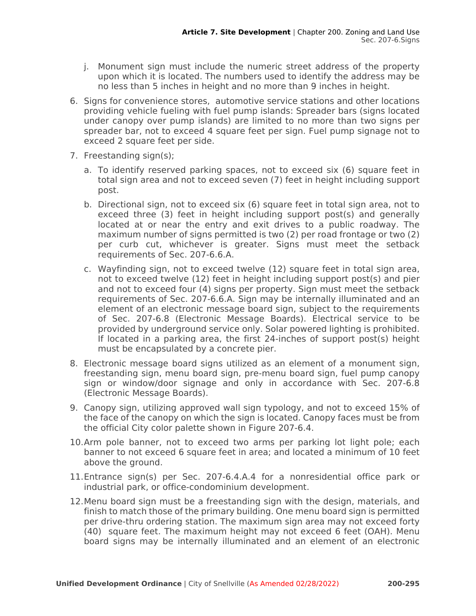- j. Monument sign must include the numeric street address of the property upon which it is located. The numbers used to identify the address may be no less than 5 inches in height and no more than 9 inches in height.
- 6. Signs for convenience stores, automotive service stations and other locations providing vehicle fueling with fuel pump islands: Spreader bars (signs located under canopy over pump islands) are limited to no more than two signs per spreader bar, not to exceed 4 square feet per sign. Fuel pump signage not to exceed 2 square feet per side.
- 7. Freestanding sign(s);
	- a. To identify reserved parking spaces, not to exceed six (6) square feet in total sign area and not to exceed seven (7) feet in height including support post.
	- b. Directional sign, not to exceed six (6) square feet in total sign area, not to exceed three (3) feet in height including support post(s) and generally located at or near the entry and exit drives to a public roadway. The maximum number of signs permitted is two (2) per road frontage or two (2) per curb cut, whichever is greater. Signs must meet the setback requirements of Sec. 207-6.6.A.
	- c. Wayfinding sign, not to exceed twelve (12) square feet in total sign area, not to exceed twelve (12) feet in height including support post(s) and pier and not to exceed four (4) signs per property. Sign must meet the setback requirements of Sec. 207-6.6.A. Sign may be internally illuminated and an element of an electronic message board sign, subject to the requirements of Sec. 207-6.8 (Electronic Message Boards). Electrical service to be provided by underground service only. Solar powered lighting is prohibited. If located in a parking area, the first 24-inches of support post(s) height must be encapsulated by a concrete pier.
- 8. Electronic message board signs utilized as an element of a monument sign, freestanding sign, menu board sign, pre-menu board sign, fuel pump canopy sign or window/door signage and only in accordance with Sec. 207-6.8 (Electronic Message Boards).
- 9. Canopy sign, utilizing approved wall sign typology, and not to exceed 15% of the face of the canopy on which the sign is located. Canopy faces must be from the official City color palette shown in Figure 207-6.4.
- 10.Arm pole banner, not to exceed two arms per parking lot light pole; each banner to not exceed 6 square feet in area; and located a minimum of 10 feet above the ground.
- 11.Entrance sign(s) per Sec. 207-6.4.A.4 for a nonresidential office park or industrial park, or office-condominium development.
- 12.Menu board sign must be a freestanding sign with the design, materials, and finish to match those of the primary building. One menu board sign is permitted per drive-thru ordering station. The maximum sign area may not exceed forty (40) square feet. The maximum height may not exceed 6 feet (OAH). Menu board signs may be internally illuminated and an element of an electronic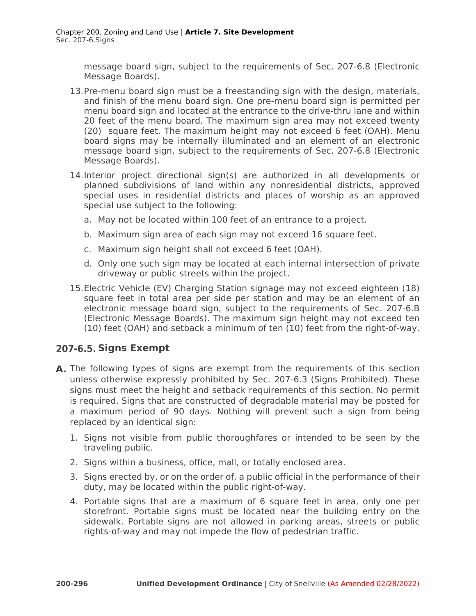message board sign, subject to the requirements of Sec. 207-6.8 (Electronic Message Boards).

- 13.Pre-menu board sign must be a freestanding sign with the design, materials, and finish of the menu board sign. One pre-menu board sign is permitted per menu board sign and located at the entrance to the drive-thru lane and within 20 feet of the menu board. The maximum sign area may not exceed twenty (20) square feet. The maximum height may not exceed 6 feet (OAH). Menu board signs may be internally illuminated and an element of an electronic message board sign, subject to the requirements of Sec. 207-6.8 (Electronic Message Boards).
- 14.Interior project directional sign(s) are authorized in all developments or planned subdivisions of land within any nonresidential districts, approved special uses in residential districts and places of worship as an approved special use subject to the following:
	- a. May not be located within 100 feet of an entrance to a project.
	- b. Maximum sign area of each sign may not exceed 16 square feet.
	- c. Maximum sign height shall not exceed 6 feet (OAH).
	- d. Only one such sign may be located at each internal intersection of private driveway or public streets within the project.
- 15.Electric Vehicle (EV) Charging Station signage may not exceed eighteen (18) square feet in total area per side per station and may be an element of an electronic message board sign, subject to the requirements of Sec. 207-6.B (Electronic Message Boards). The maximum sign height may not exceed ten (10) feet (OAH) and setback a minimum of ten (10) feet from the right-of-way.

# **Signs Exempt**

- A. The following types of signs are exempt from the requirements of this section unless otherwise expressly prohibited by Sec. 207-6.3 (Signs Prohibited). These signs must meet the height and setback requirements of this section. No permit is required. Signs that are constructed of degradable material may be posted for a maximum period of 90 days. Nothing will prevent such a sign from being replaced by an identical sign:
	- 1. Signs not visible from public thoroughfares or intended to be seen by the traveling public.
	- 2. Signs within a business, office, mall, or totally enclosed area.
	- 3. Signs erected by, or on the order of, a public official in the performance of their duty, may be located within the public right-of-way.
	- 4. Portable signs that are a maximum of 6 square feet in area, only one per storefront. Portable signs must be located near the building entry on the sidewalk. Portable signs are not allowed in parking areas, streets or public rights-of-way and may not impede the flow of pedestrian traffic.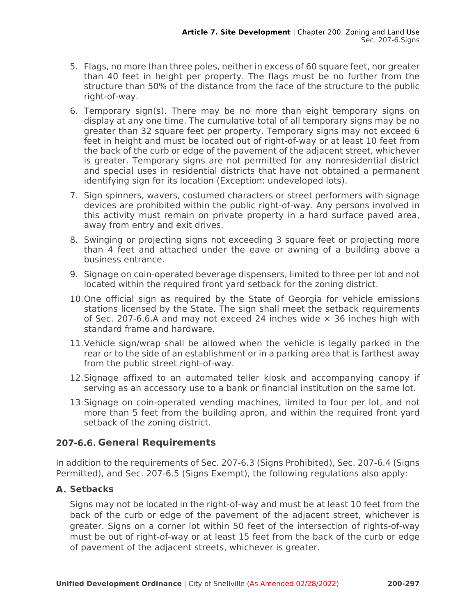- 5. Flags, no more than three poles, neither in excess of 60 square feet, nor greater than 40 feet in height per property. The flags must be no further from the structure than 50% of the distance from the face of the structure to the public right-of-way.
- 6. Temporary sign(s). There may be no more than eight temporary signs on display at any one time. The cumulative total of all temporary signs may be no greater than 32 square feet per property. Temporary signs may not exceed 6 feet in height and must be located out of right-of-way or at least 10 feet from the back of the curb or edge of the pavement of the adjacent street, whichever is greater. Temporary signs are not permitted for any nonresidential district and special uses in residential districts that have not obtained a permanent identifying sign for its location (Exception: undeveloped lots).
- 7. Sign spinners, wavers, costumed characters or street performers with signage devices are prohibited within the public right-of-way. Any persons involved in this activity must remain on private property in a hard surface paved area, away from entry and exit drives.
- 8. Swinging or projecting signs not exceeding 3 square feet or projecting more than 4 feet and attached under the eave or awning of a building above a business entrance.
- 9. Signage on coin-operated beverage dispensers, limited to three per lot and not located within the required front yard setback for the zoning district.
- 10.One official sign as required by the State of Georgia for vehicle emissions stations licensed by the State. The sign shall meet the setback requirements of Sec. 207-6.6.A and may not exceed 24 inches wide  $\times$  36 inches high with standard frame and hardware.
- 11.Vehicle sign/wrap shall be allowed when the vehicle is legally parked in the rear or to the side of an establishment or in a parking area that is farthest away from the public street right-of-way.
- 12.Signage affixed to an automated teller kiosk and accompanying canopy if serving as an accessory use to a bank or financial institution on the same lot.
- 13.Signage on coin-operated vending machines, limited to four per lot, and not more than 5 feet from the building apron, and within the required front yard setback of the zoning district.

# **General Requirements**

In addition to the requirements of Sec. 207-6.3 (Signs Prohibited), Sec. 207-6.4 (Signs Permitted), and Sec. 207-6.5 (Signs Exempt), the following regulations also apply:

# A. Setbacks

Signs may not be located in the right-of-way and must be at least 10 feet from the back of the curb or edge of the pavement of the adjacent street, whichever is greater. Signs on a corner lot within 50 feet of the intersection of rights-of-way must be out of right-of-way or at least 15 feet from the back of the curb or edge of pavement of the adjacent streets, whichever is greater.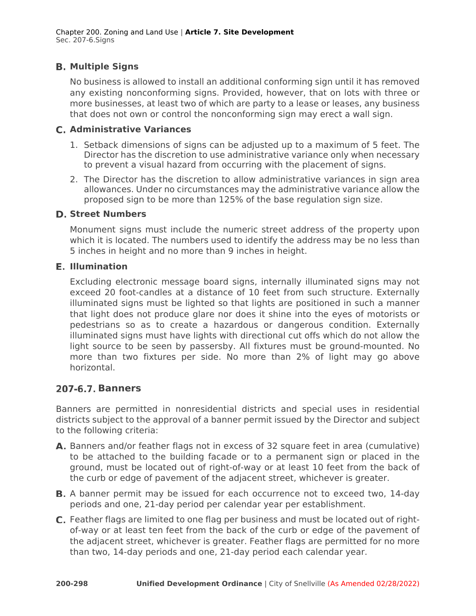# **Multiple Signs**

No business is allowed to install an additional conforming sign until it has removed any existing nonconforming signs. Provided, however, that on lots with three or more businesses, at least two of which are party to a lease or leases, any business that does not own or control the nonconforming sign may erect a wall sign.

#### **Administrative Variances**

- 1. Setback dimensions of signs can be adjusted up to a maximum of 5 feet. The Director has the discretion to use administrative variance only when necessary to prevent a visual hazard from occurring with the placement of signs.
- 2. The Director has the discretion to allow administrative variances in sign area allowances. Under no circumstances may the administrative variance allow the proposed sign to be more than 125% of the base regulation sign size.

#### **D. Street Numbers**

Monument signs must include the numeric street address of the property upon which it is located. The numbers used to identify the address may be no less than 5 inches in height and no more than 9 inches in height.

#### **Illumination**

Excluding electronic message board signs, internally illuminated signs may not exceed 20 foot-candles at a distance of 10 feet from such structure. Externally illuminated signs must be lighted so that lights are positioned in such a manner that light does not produce glare nor does it shine into the eyes of motorists or pedestrians so as to create a hazardous or dangerous condition. Externally illuminated signs must have lights with directional cut offs which do not allow the light source to be seen by passersby. All fixtures must be ground-mounted. No more than two fixtures per side. No more than 2% of light may go above horizontal.

# **Banners**

Banners are permitted in nonresidential districts and special uses in residential districts subject to the approval of a banner permit issued by the Director and subject to the following criteria:

- A. Banners and/or feather flags not in excess of 32 square feet in area (cumulative) to be attached to the building facade or to a permanent sign or placed in the ground, must be located out of right-of-way or at least 10 feet from the back of the curb or edge of pavement of the adjacent street, whichever is greater.
- **B.** A banner permit may be issued for each occurrence not to exceed two, 14-day periods and one, 21-day period per calendar year per establishment.
- Feather flags are limited to one flag per business and must be located out of rightof-way or at least ten feet from the back of the curb or edge of the pavement of the adjacent street, whichever is greater. Feather flags are permitted for no more than two, 14-day periods and one, 21-day period each calendar year.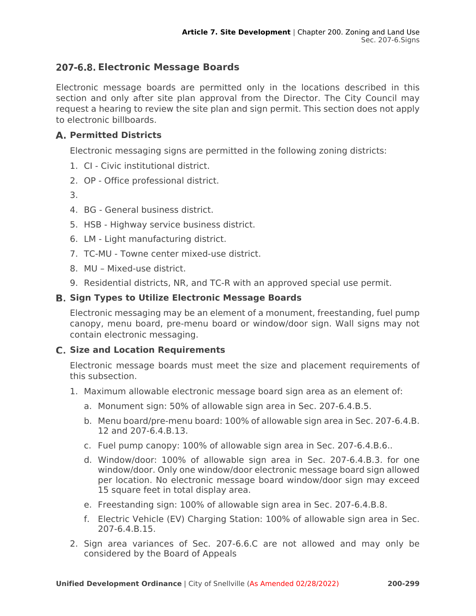# **Electronic Message Boards**

Electronic message boards are permitted only in the locations described in this section and only after site plan approval from the Director. The City Council may request a hearing to review the site plan and sign permit. This section does not apply to electronic billboards.

# **Permitted Districts**

Electronic messaging signs are permitted in the following zoning districts:

- 1. CI Civic institutional district.
- 2. OP Office professional district.
- 3.
- 4. BG General business district.
- 5. HSB Highway service business district.
- 6. LM Light manufacturing district.
- 7. TC-MU Towne center mixed-use district.
- 8. MU Mixed-use district.
- 9. Residential districts, NR, and TC-R with an approved special use permit.

# **Sign Types to Utilize Electronic Message Boards**

Electronic messaging may be an element of a monument, freestanding, fuel pump canopy, menu board, pre-menu board or window/door sign. Wall signs may not contain electronic messaging.

# **Size and Location Requirements**

Electronic message boards must meet the size and placement requirements of this subsection.

- 1. Maximum allowable electronic message board sign area as an element of:
	- a. Monument sign: 50% of allowable sign area in Sec. 207-6.4.B.5.
	- b. Menu board/pre-menu board: 100% of allowable sign area in Sec. 207-6.4.B. 12 and 207-6.4.B.13.
	- c. Fuel pump canopy: 100% of allowable sign area in Sec. 207-6.4.B.6..
	- d. Window/door: 100% of allowable sign area in Sec. 207-6.4.B.3. for one window/door. Only one window/door electronic message board sign allowed per location. No electronic message board window/door sign may exceed 15 square feet in total display area.
	- e. Freestanding sign: 100% of allowable sign area in Sec. 207-6.4.B.8.
	- f. Electric Vehicle (EV) Charging Station: 100% of allowable sign area in Sec. 207-6.4.B.15.
- 2. Sign area variances of Sec. 207-6.6.C are not allowed and may only be considered by the Board of Appeals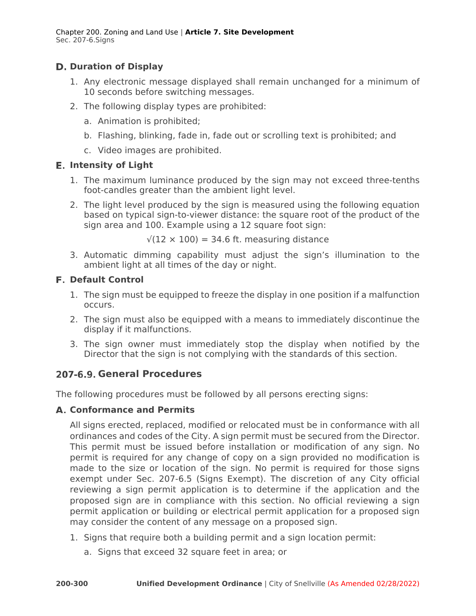Chapter 200. Zoning and Land Use | **Article 7. Site Development**  Sec. 207-6.Signs

# **Duration of Display**

- 1. Any electronic message displayed shall remain unchanged for a minimum of 10 seconds before switching messages.
- 2. The following display types are prohibited:
	- a. Animation is prohibited;
	- b. Flashing, blinking, fade in, fade out or scrolling text is prohibited; and
	- c. Video images are prohibited.

#### **Intensity of Light**

- 1. The maximum luminance produced by the sign may not exceed three-tenths foot-candles greater than the ambient light level.
- 2. The light level produced by the sign is measured using the following equation based on typical sign-to-viewer distance: the square root of the product of the sign area and 100. Example using a 12 square foot sign:

 $\sqrt{(12 \times 100)}$  = 34.6 ft. measuring distance

3. Automatic dimming capability must adjust the sign's illumination to the ambient light at all times of the day or night.

#### **Default Control**

- 1. The sign must be equipped to freeze the display in one position if a malfunction occurs.
- 2. The sign must also be equipped with a means to immediately discontinue the display if it malfunctions.
- 3. The sign owner must immediately stop the display when notified by the Director that the sign is not complying with the standards of this section.

# **General Procedures**

The following procedures must be followed by all persons erecting signs:

# **Conformance and Permits**

All signs erected, replaced, modified or relocated must be in conformance with all ordinances and codes of the City. A sign permit must be secured from the Director. This permit must be issued before installation or modification of any sign. No permit is required for any change of copy on a sign provided no modification is made to the size or location of the sign. No permit is required for those signs exempt under Sec. 207-6.5 (Signs Exempt). The discretion of any City official reviewing a sign permit application is to determine if the application and the proposed sign are in compliance with this section. No official reviewing a sign permit application or building or electrical permit application for a proposed sign may consider the content of any message on a proposed sign.

- 1. Signs that require both a building permit and a sign location permit:
	- a. Signs that exceed 32 square feet in area; or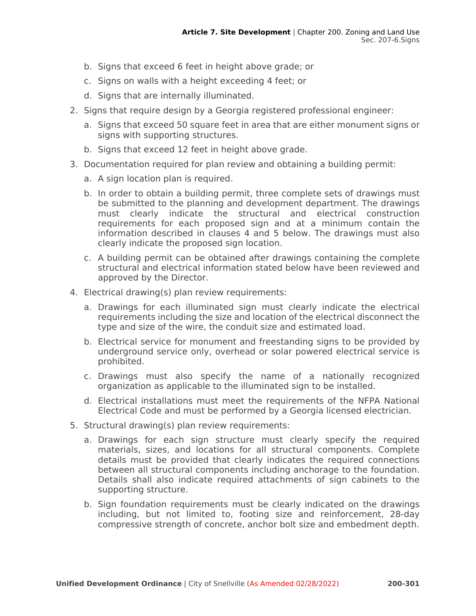- b. Signs that exceed 6 feet in height above grade; or
- c. Signs on walls with a height exceeding 4 feet; or
- d. Signs that are internally illuminated.
- 2. Signs that require design by a Georgia registered professional engineer:
	- a. Signs that exceed 50 square feet in area that are either monument signs or signs with supporting structures.
	- b. Signs that exceed 12 feet in height above grade.
- 3. Documentation required for plan review and obtaining a building permit:
	- a. A sign location plan is required.
	- b. In order to obtain a building permit, three complete sets of drawings must be submitted to the planning and development department. The drawings must clearly indicate the structural and electrical construction requirements for each proposed sign and at a minimum contain the information described in clauses 4 and 5 below. The drawings must also clearly indicate the proposed sign location.
	- c. A building permit can be obtained after drawings containing the complete structural and electrical information stated below have been reviewed and approved by the Director.
- 4. Electrical drawing(s) plan review requirements:
	- a. Drawings for each illuminated sign must clearly indicate the electrical requirements including the size and location of the electrical disconnect the type and size of the wire, the conduit size and estimated load.
	- b. Electrical service for monument and freestanding signs to be provided by underground service only, overhead or solar powered electrical service is prohibited.
	- c. Drawings must also specify the name of a nationally recognized organization as applicable to the illuminated sign to be installed.
	- d. Electrical installations must meet the requirements of the NFPA National Electrical Code and must be performed by a Georgia licensed electrician.
- 5. Structural drawing(s) plan review requirements:
	- a. Drawings for each sign structure must clearly specify the required materials, sizes, and locations for all structural components. Complete details must be provided that clearly indicates the required connections between all structural components including anchorage to the foundation. Details shall also indicate required attachments of sign cabinets to the supporting structure.
	- b. Sign foundation requirements must be clearly indicated on the drawings including, but not limited to, footing size and reinforcement, 28-day compressive strength of concrete, anchor bolt size and embedment depth.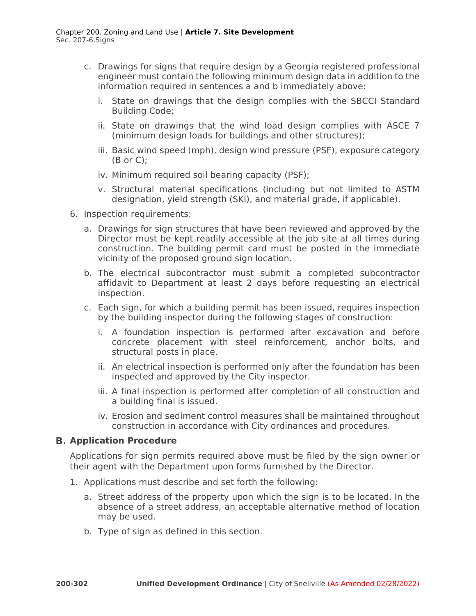- c. Drawings for signs that require design by a Georgia registered professional engineer must contain the following minimum design data in addition to the information required in sentences a and b immediately above:
	- i. State on drawings that the design complies with the SBCCI Standard Building Code;
	- ii. State on drawings that the wind load design complies with ASCE 7 (minimum design loads for buildings and other structures);
	- iii. Basic wind speed (mph), design wind pressure (PSF), exposure category  $(B \text{ or } C)$ :
	- iv. Minimum required soil bearing capacity (PSF);
	- v. Structural material specifications (including but not limited to ASTM designation, yield strength (SKI), and material grade, if applicable).
- 6. Inspection requirements:
	- a. Drawings for sign structures that have been reviewed and approved by the Director must be kept readily accessible at the job site at all times during construction. The building permit card must be posted in the immediate vicinity of the proposed ground sign location.
	- b. The electrical subcontractor must submit a completed subcontractor affidavit to Department at least 2 days before requesting an electrical inspection.
	- c. Each sign, for which a building permit has been issued, requires inspection by the building inspector during the following stages of construction:
		- i. A foundation inspection is performed after excavation and before concrete placement with steel reinforcement, anchor bolts, and structural posts in place.
		- ii. An electrical inspection is performed only after the foundation has been inspected and approved by the City inspector.
		- iii. A final inspection is performed after completion of all construction and a building final is issued.
		- iv. Erosion and sediment control measures shall be maintained throughout construction in accordance with City ordinances and procedures.

#### **B. Application Procedure**

Applications for sign permits required above must be filed by the sign owner or their agent with the Department upon forms furnished by the Director.

- 1. Applications must describe and set forth the following:
	- a. Street address of the property upon which the sign is to be located. In the absence of a street address, an acceptable alternative method of location may be used.
	- b. Type of sign as defined in this section.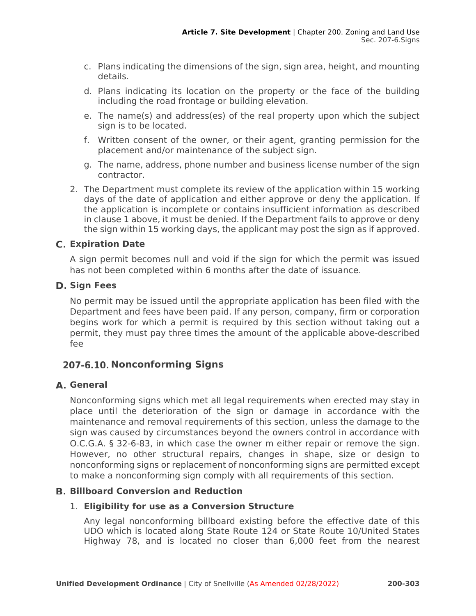- c. Plans indicating the dimensions of the sign, sign area, height, and mounting details.
- d. Plans indicating its location on the property or the face of the building including the road frontage or building elevation.
- e. The name(s) and address(es) of the real property upon which the subject sign is to be located.
- f. Written consent of the owner, or their agent, granting permission for the placement and/or maintenance of the subject sign.
- g. The name, address, phone number and business license number of the sign contractor.
- 2. The Department must complete its review of the application within 15 working days of the date of application and either approve or deny the application. If the application is incomplete or contains insufficient information as described in clause 1 above, it must be denied. If the Department fails to approve or deny the sign within 15 working days, the applicant may post the sign as if approved.

# **Expiration Date**

A sign permit becomes null and void if the sign for which the permit was issued has not been completed within 6 months after the date of issuance.

#### **D. Sign Fees**

No permit may be issued until the appropriate application has been filed with the Department and fees have been paid. If any person, company, firm or corporation begins work for which a permit is required by this section without taking out a permit, they must pay three times the amount of the applicable above-described fee

# 207-6.10. Nonconforming Signs

# **General**

Nonconforming signs which met all legal requirements when erected may stay in place until the deterioration of the sign or damage in accordance with the maintenance and removal requirements of this section, unless the damage to the sign was caused by circumstances beyond the owners control in accordance with O.C.G.A. § 32-6-83, in which case the owner m either repair or remove the sign. However, no other structural repairs, changes in shape, size or design to nonconforming signs or replacement of nonconforming signs are permitted except to make a nonconforming sign comply with all requirements of this section.

# **Billboard Conversion and Reduction**

#### 1. **Eligibility for use as a Conversion Structure**

Any legal nonconforming billboard existing before the effective date of this UDO which is located along State Route 124 or State Route 10/United States Highway 78, and is located no closer than 6,000 feet from the nearest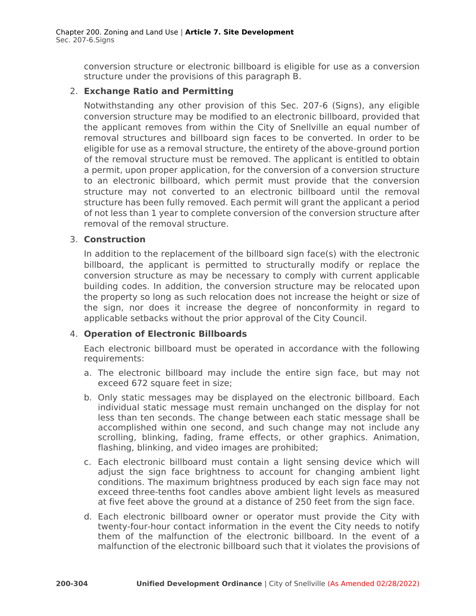conversion structure or electronic billboard is eligible for use as a conversion structure under the provisions of this paragraph B.

### 2. **Exchange Ratio and Permitting**

Notwithstanding any other provision of this Sec. 207-6 (Signs), any eligible conversion structure may be modified to an electronic billboard, provided that the applicant removes from within the City of Snellville an equal number of removal structures and billboard sign faces to be converted. In order to be eligible for use as a removal structure, the entirety of the above-ground portion of the removal structure must be removed. The applicant is entitled to obtain a permit, upon proper application, for the conversion of a conversion structure to an electronic billboard, which permit must provide that the conversion structure may not converted to an electronic billboard until the removal structure has been fully removed. Each permit will grant the applicant a period of not less than 1 year to complete conversion of the conversion structure after removal of the removal structure.

#### 3. **Construction**

In addition to the replacement of the billboard sign face(s) with the electronic billboard, the applicant is permitted to structurally modify or replace the conversion structure as may be necessary to comply with current applicable building codes. In addition, the conversion structure may be relocated upon the property so long as such relocation does not increase the height or size of the sign, nor does it increase the degree of nonconformity in regard to applicable setbacks without the prior approval of the City Council.

# 4. **Operation of Electronic Billboards**

Each electronic billboard must be operated in accordance with the following requirements:

- a. The electronic billboard may include the entire sign face, but may not exceed 672 square feet in size;
- b. Only static messages may be displayed on the electronic billboard. Each individual static message must remain unchanged on the display for not less than ten seconds. The change between each static message shall be accomplished within one second, and such change may not include any scrolling, blinking, fading, frame effects, or other graphics. Animation, flashing, blinking, and video images are prohibited;
- c. Each electronic billboard must contain a light sensing device which will adjust the sign face brightness to account for changing ambient light conditions. The maximum brightness produced by each sign face may not exceed three-tenths foot candles above ambient light levels as measured at five feet above the ground at a distance of 250 feet from the sign face.
- d. Each electronic billboard owner or operator must provide the City with twenty-four-hour contact information in the event the City needs to notify them of the malfunction of the electronic billboard. In the event of a malfunction of the electronic billboard such that it violates the provisions of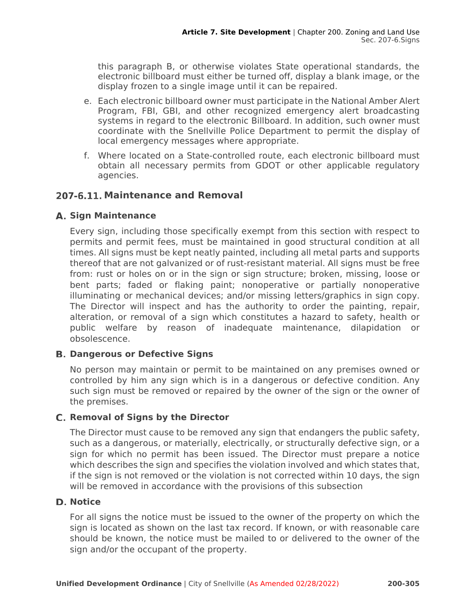this paragraph B, or otherwise violates State operational standards, the electronic billboard must either be turned off, display a blank image, or the display frozen to a single image until it can be repaired.

- e. Each electronic billboard owner must participate in the National Amber Alert Program, FBI, GBI, and other recognized emergency alert broadcasting systems in regard to the electronic Billboard. In addition, such owner must coordinate with the Snellville Police Department to permit the display of local emergency messages where appropriate.
- f. Where located on a State-controlled route, each electronic billboard must obtain all necessary permits from GDOT or other applicable regulatory agencies.

# **Maintenance and Removal**

#### **Sign Maintenance**

Every sign, including those specifically exempt from this section with respect to permits and permit fees, must be maintained in good structural condition at all times. All signs must be kept neatly painted, including all metal parts and supports thereof that are not galvanized or of rust-resistant material. All signs must be free from: rust or holes on or in the sign or sign structure; broken, missing, loose or bent parts; faded or flaking paint; nonoperative or partially nonoperative illuminating or mechanical devices; and/or missing letters/graphics in sign copy. The Director will inspect and has the authority to order the painting, repair, alteration, or removal of a sign which constitutes a hazard to safety, health or public welfare by reason of inadequate maintenance, dilapidation or obsolescence.

# **Dangerous or Defective Signs**

No person may maintain or permit to be maintained on any premises owned or controlled by him any sign which is in a dangerous or defective condition. Any such sign must be removed or repaired by the owner of the sign or the owner of the premises.

#### **Removal of Signs by the Director**

The Director must cause to be removed any sign that endangers the public safety, such as a dangerous, or materially, electrically, or structurally defective sign, or a sign for which no permit has been issued. The Director must prepare a notice which describes the sign and specifies the violation involved and which states that, if the sign is not removed or the violation is not corrected within 10 days, the sign will be removed in accordance with the provisions of this subsection

#### D. Notice

For all signs the notice must be issued to the owner of the property on which the sign is located as shown on the last tax record. If known, or with reasonable care should be known, the notice must be mailed to or delivered to the owner of the sign and/or the occupant of the property.